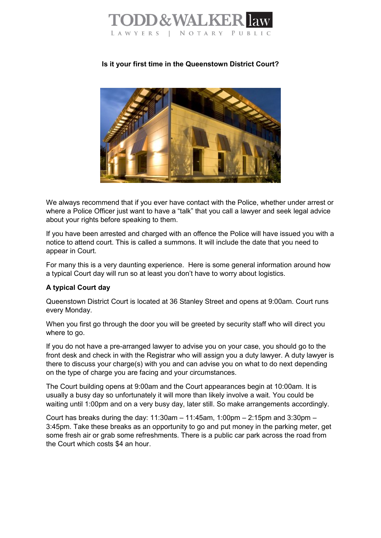

## **Is it your first time in the Queenstown District Court?**



We always recommend that if you ever have contact with the Police, whether under arrest or where a Police Officer just want to have a "talk" that you call a lawyer and seek legal advice about your rights before speaking to them.

If you have been arrested and charged with an offence the Police will have issued you with a notice to attend court. This is called a summons. It will include the date that you need to appear in Court.

For many this is a very daunting experience. Here is some general information around how a typical Court day will run so at least you don't have to worry about logistics.

## **A typical Court day**

Queenstown District Court is located at 36 Stanley Street and opens at 9:00am. Court runs every Monday.

When you first go through the door you will be greeted by security staff who will direct you where to go.

If you do not have a pre-arranged lawyer to advise you on your case, you should go to the front desk and check in with the Registrar who will assign you a duty lawyer. A duty lawyer is there to discuss your charge(s) with you and can advise you on what to do next depending on the type of charge you are facing and your circumstances.

The Court building opens at 9:00am and the Court appearances begin at 10:00am. It is usually a busy day so unfortunately it will more than likely involve a wait. You could be waiting until 1:00pm and on a very busy day, later still. So make arrangements accordingly.

Court has breaks during the day:  $11:30$ am  $-11:45$ am,  $1:00$ pm  $-2:15$ pm and  $3:30$ pm  $-$ 3:45pm. Take these breaks as an opportunity to go and put money in the parking meter, get some fresh air or grab some refreshments. There is a public car park across the road from the Court which costs \$4 an hour.